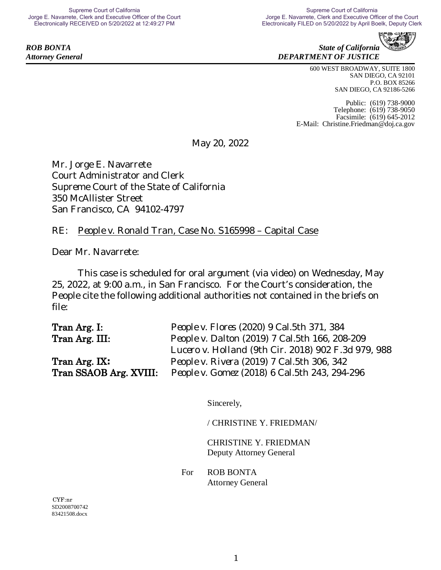**ROB BONTA** State of California *Attorney General DEPARTMENT OF JUSTICE*

> 600 WEST BROADWAY, SUITE 1800 SAN DIEGO, CA 92101 P.O. BOX 85266 SAN DIEGO, CA 92186-5266

Public: (619) 738-9000 Telephone: (619) 738-9050 Facsimile: (619) 645-2012 E-Mail: [Christine.Friedman@doj.ca.gov](mailto:Christine.Friedman@doj.ca.gov)

May 20, 2022

Mr. Jorge E. Navarrete Court Administrator and Clerk Supreme Court of the State of California 350 McAllister Street San Francisco, CA 94102-4797

### RE: *People v. Ronald Tran*, Case No. S165998 – Capital Case

Dear Mr. Navarrete:

This case is scheduled for oral argument (via video) on Wednesday, May 25, 2022, at 9:00 a.m., in San Francisco. For the Court's consideration, the People cite the following additional authorities not contained in the briefs on file:

| Tran Arg. I:           | People v. Flores (2020) 9 Cal.5th 371, 384          |
|------------------------|-----------------------------------------------------|
| Tran Arg. III:         | People v. Dalton (2019) 7 Cal.5th 166, 208-209      |
|                        | Lucero v. Holland (9th Cir. 2018) 902 F.3d 979, 988 |
| Tran Arg. IX.          | People v. Rivera (2019) 7 Cal.5th 306, 342          |
| Tran SSAOB Arg. XVIII: | People v. Gomez (2018) 6 Cal.5th 243, 294-296       |

Sincerely,

/ CHRISTINE Y. FRIEDMAN/

CHRISTINE Y. FRIEDMAN Deputy Attorney General

For ROB BONTA Attorney General

SD2008700742 83421508.docx CYF:nr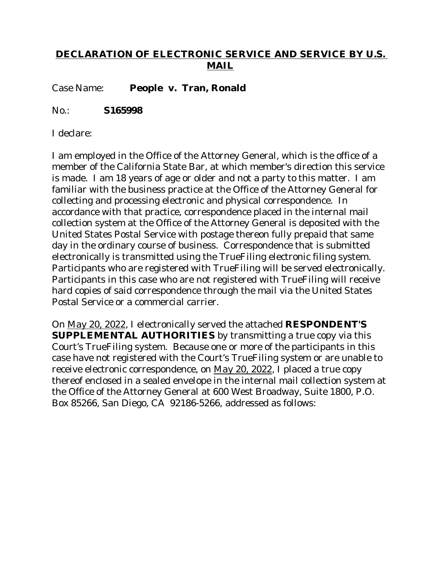### **DECLARATION OF ELECTRONIC SERVICE AND SERVICE BY U.S. MAIL**

Case Name: **People v. Tran, Ronald**

No.: **S165998**

I declare:

I am employed in the Office of the Attorney General, which is the office of a member of the California State Bar, at which member's direction this service is made. I am 18 years of age or older and not a party to this matter. I am familiar with the business practice at the Office of the Attorney General for collecting and processing electronic and physical correspondence. In accordance with that practice, correspondence placed in the internal mail collection system at the Office of the Attorney General is deposited with the United States Postal Service with postage thereon fully prepaid that same day in the ordinary course of business. Correspondence that is submitted electronically is transmitted using the TrueFiling electronic filing system. Participants who are registered with TrueFiling will be served electronically. Participants in this case who are not registered with TrueFiling will receive hard copies of said correspondence through the mail via the United States Postal Service or a commercial carrier.

On May 20, 2022, I electronically served the attached **RESPONDENT'S SUPPLEMENTAL AUTHORITIES** by transmitting a true copy via this Court's TrueFiling system. Because one or more of the participants in this case have not registered with the Court's TrueFiling system or are unable to receive electronic correspondence, on May 20, 2022, I placed a true copy thereof enclosed in a sealed envelope in the internal mail collection system at the Office of the Attorney General at 600 West Broadway, Suite 1800, P.O. Box 85266, San Diego, CA 92186-5266, addressed as follows: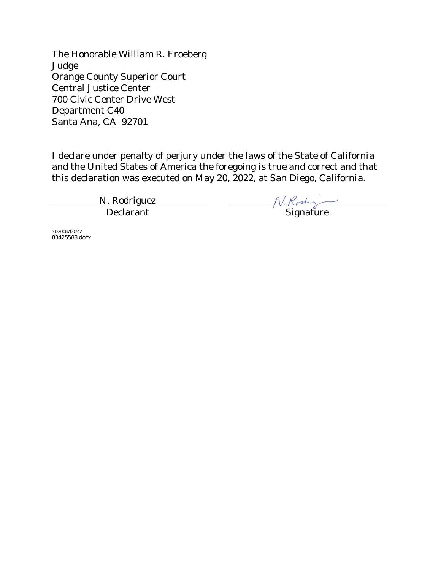The Honorable William R. Froeberg Judge Orange County Superior Court Central Justice Center 700 Civic Center Drive West Department C40 Santa Ana, CA 92701

I declare under penalty of perjury under the laws of the State of California and the United States of America the foregoing is true and correct and that this declaration was executed on May 20, 2022, at San Diego, California.

N. Rodriguez المسترجم المسترجم المسترجم المسترجم المسترجم المسترجم المسترجم المسترجم المسترجم المسترجم المسترجم المسترجم ال<br>المسترجم المسترجم المسترجم المسترجم المسترجم المسترجم المسترجم المسترجم المسترجم المسترجم المسترجم المسترجم ال

SD2008700742 83425588.docx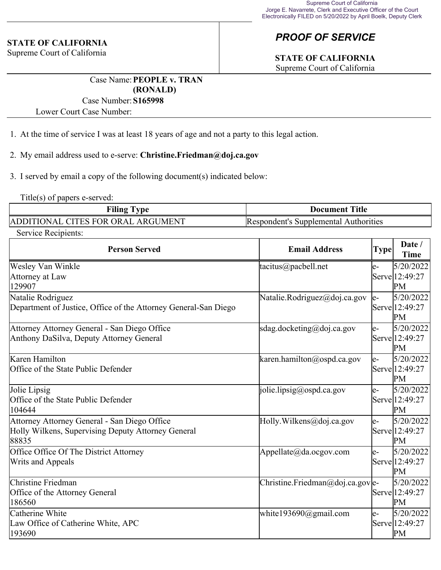#### **STATE OF CALIFORNIA**

Supreme Court of California

## *PROOF OF SERVICE*

# **STATE OF CALIFORNIA**

Supreme Court of California

Case Name:**PEOPLE v. TRAN (RONALD)**

#### Case Number:**S165998**

Lower Court Case Number:

1. At the time of service I was at least 18 years of age and not a party to this legal action.

#### 2. My email address used to e-serve: **Christine.Friedman@doj.ca.gov**

3. I served by email a copy of the following document(s) indicated below:

Title(s) of papers e-served:

| <b>Filing Type</b>                 | <b>Document Title</b>                 |
|------------------------------------|---------------------------------------|
| ADDITIONAL CITES FOR ORAL ARGUMENT | Respondent's Supplemental Authorities |

Service Recipients:

| <b>Person Served</b>                                                                                        | <b>Email Address</b>            | <b>Type</b> | Date /<br><b>Time</b>             |
|-------------------------------------------------------------------------------------------------------------|---------------------------------|-------------|-----------------------------------|
| Wesley Van Winkle<br>Attorney at Law<br>129907                                                              | tacitus@pacbell.net             | e-          | 5/20/2022<br>Serve 12:49:27<br>PM |
| Natalie Rodriguez<br>Department of Justice, Office of the Attorney General-San Diego                        | Natalie.Rodriguez@doj.ca.gov    | le-         | 5/20/2022<br>Serve 12:49:27<br>PM |
| Attorney Attorney General - San Diego Office<br>Anthony DaSilva, Deputy Attorney General                    | sdag.docketing@doj.ca.gov       | e-          | 5/20/2022<br>Serve 12:49:27<br>PM |
| Karen Hamilton<br>Office of the State Public Defender                                                       | karen.hamilton@ospd.ca.gov      | le-         | 5/20/2022<br>Serve 12:49:27<br>PM |
| Jolie Lipsig<br>Office of the State Public Defender<br>104644                                               | [jolie.lipsig@ospd.ca.gov]      | le-         | 5/20/2022<br>Serve 12:49:27<br>PM |
| Attorney Attorney General - San Diego Office<br>Holly Wilkens, Supervising Deputy Attorney General<br>88835 | Holly. Wilkens@doj.ca.gov       | le-         | 5/20/2022<br>Serve 12:49:27<br>PM |
| Office Office Of The District Attorney<br>Writs and Appeals                                                 | Appellate@da.ocgov.com          | le-         | 5/20/2022<br>Serve 12:49:27<br>PM |
| Christine Friedman<br>Office of the Attorney General<br>186560                                              | Christine.Friedman@doj.ca.gove- |             | 5/20/2022<br>Serve 12:49:27<br>PM |
| Catherine White<br>Law Office of Catherine White, APC<br>193690                                             | white193690@gmail.com           | le-         | 5/20/2022<br>Serve 12:49:27<br>PM |